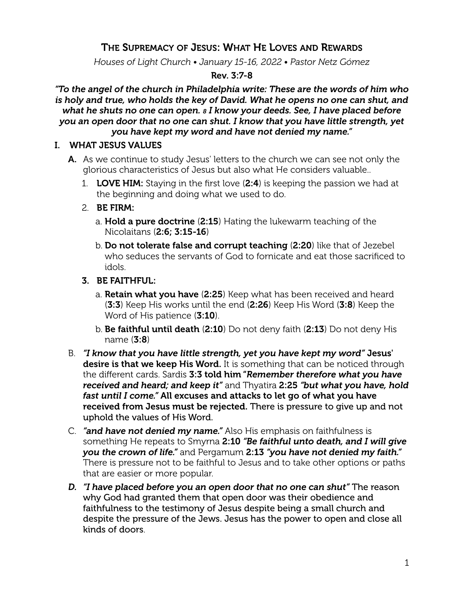# THE SUPREMACY OF JESUS: WHAT HE LOVES AND REWARDS

*Houses of Light Church • January 15-16, 2022 • Pastor Netz Gómez*

### Rev. 3:7-8

*"To the angel of the church in Philadelphia write: These are the words of him who is holy and true, who holds the key of David. What he opens no one can shut, and what he shuts no one can open. 8 I know your deeds. See, I have placed before you an open door that no one can shut. I know that you have little strength, yet you have kept my word and have not denied my name."*

#### I. WHAT JESUS VALUES

- A. As we continue to study Jesus' letters to the church we can see not only the glorious characteristics of Jesus but also what He considers valuable..
	- 1. **LOVE HIM:** Staying in the first love  $(2:4)$  is keeping the passion we had at the beginning and doing what we used to do.
	- 2. BE FIRM:
		- a. Hold a pure doctrine (2:15) Hating the lukewarm teaching of the Nicolaitans (2:6; 3:15-16)
		- b. Do not tolerate false and corrupt teaching (2:20) like that of Jezebel who seduces the servants of God to fornicate and eat those sacrificed to idols.
	- 3. BE FAITHFUL:
		- a. Retain what you have (2:25) Keep what has been received and heard (3:3) Keep His works until the end (2:26) Keep His Word (3:8) Keep the Word of His patience (3:10).
		- b. Be faithful until death (2:10) Do not deny faith (2:13) Do not deny His name (3:8)
- B. *"I know that you have little strength, yet you have kept my word"* Jesus' desire is that we keep His Word. It is something that can be noticed through the different cards. Sardis 3:3 told him "*Remember therefore what you have received and heard; and keep it"* and Thyatira 2:25 *"but what you have, hold fast until I come."* All excuses and attacks to let go of what you have received from Jesus must be rejected. There is pressure to give up and not uphold the values of His Word.
- C. *"and have not denied my name."* Also His emphasis on faithfulness is something He repeats to Smyrna 2:10 *"Be faithful unto death, and I will give you the crown of life."* and Pergamum 2:13 *"you have not denied my faith."* There is pressure not to be faithful to Jesus and to take other options or paths that are easier or more popular.
- *D. "I have placed before you an open door that no one can shut"* The reason why God had granted them that open door was their obedience and faithfulness to the testimony of Jesus despite being a small church and despite the pressure of the Jews. Jesus has the power to open and close all kinds of doors.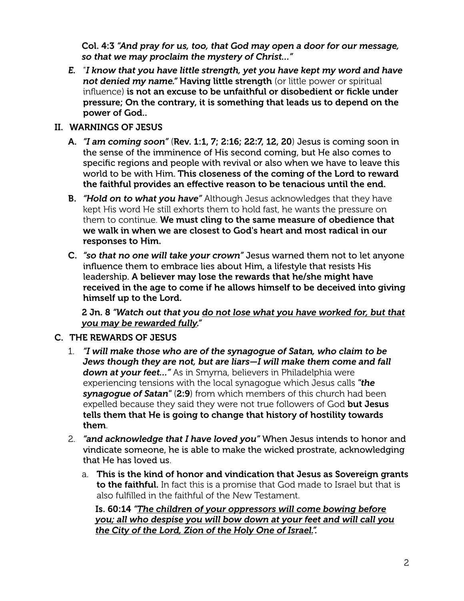Col. 4:3 *"And pray for us, too, that God may open a door for our message, so that we may proclaim the mystery of Christ…"*

*E.* "*I know that you have little strength, yet you have kept my word and have not denied my name."* Having little strength (or little power or spiritual influence) is not an excuse to be unfaithful or disobedient or fickle under pressure; On the contrary, it is something that leads us to depend on the power of God..

### II. WARNINGS OF JESUS

- A. *"I am coming soon"* (Rev. 1:1, 7; 2:16; 22:7, 12, 20) Jesus is coming soon in the sense of the imminence of His second coming, but He also comes to specific regions and people with revival or also when we have to leave this world to be with Him. This closeness of the coming of the Lord to reward the faithful provides an effective reason to be tenacious until the end.
- B. *"Hold on to what you have"* Although Jesus acknowledges that they have kept His word He still exhorts them to hold fast, he wants the pressure on them to continue. We must cling to the same measure of obedience that we walk in when we are closest to God's heart and most radical in our responses to Him.
- C. *"so that no one will take your crown"* Jesus warned them not to let anyone influence them to embrace lies about Him, a lifestyle that resists His leadership. A believer may lose the rewards that he/she might have received in the age to come if he allows himself to be deceived into giving himself up to the Lord.

2 Jn. 8 *"Watch out that you do not lose what you have worked for, but that you may be rewarded fully."*

## C. THE REWARDS OF JESUS

- 1. *"I will make those who are of the synagogue of Satan, who claim to be Jews though they are not, but are liars—I will make them come and fall down at your feet…"* As in Smyrna, believers in Philadelphia were experiencing tensions with the local synagogue which Jesus calls *"the synagogue of Satan"* (2:9) from which members of this church had been expelled because they said they were not true followers of God but Jesus tells them that He is going to change that history of hostility towards them.
- 2. *"and acknowledge that I have loved you"* When Jesus intends to honor and vindicate someone, he is able to make the wicked prostrate, acknowledging that He has loved us.
	- a. This is the kind of honor and vindication that Jesus as Sovereign grants to the faithful. In fact this is a promise that God made to Israel but that is also fulfilled in the faithful of the New Testament.

Is. 60:14 *"The children of your oppressors will come bowing before you; all who despise you will bow down at your feet and will call you the City of the Lord, Zion of the Holy One of Israel.".*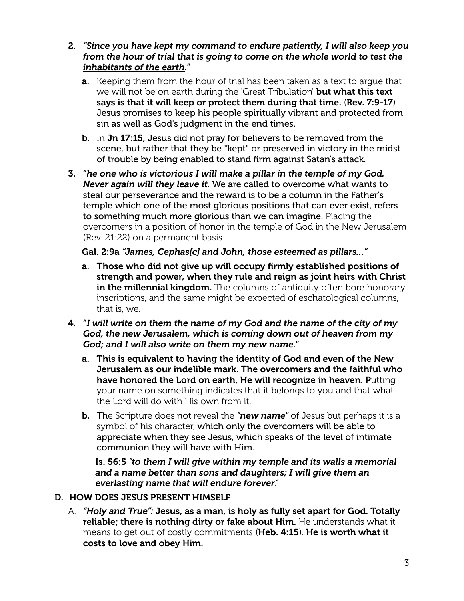- 2. *"Since you have kept my command to endure patiently, I will also keep you from the hour of trial that is going to come on the whole world to test the inhabitants of the earth.*"
	- a. Keeping them from the hour of trial has been taken as a text to argue that we will not be on earth during the 'Great Tribulation' but what this text says is that it will keep or protect them during that time. (Rev. 7:9-17). Jesus promises to keep his people spiritually vibrant and protected from sin as well as God's judgment in the end times.
	- b. In Jn 17:15, Jesus did not pray for believers to be removed from the scene, but rather that they be "kept" or preserved in victory in the midst of trouble by being enabled to stand firm against Satan's attack.
- 3. "*he one who is victorious I will make a pillar in the temple of my God. Never again will they leave it.* We are called to overcome what wants to steal our perseverance and the reward is to be a column in the Father's temple which one of the most glorious positions that can ever exist, refers to something much more glorious than we can imagine. Placing the overcomers in a position of honor in the temple of God in the New Jerusalem (Rev. 21:22) on a permanent basis.

## Gal. 2:9a *"James, Cephas[c] and John, those esteemed as pillars…"*

- a. Those who did not give up will occupy firmly established positions of strength and power, when they rule and reign as joint heirs with Christ in the millennial kingdom. The columns of antiquity often bore honorary inscriptions, and the same might be expected of eschatological columns, that is, we.
- 4. "*I will write on them the name of my God and the name of the city of my God, the new Jerusalem, which is coming down out of heaven from my God; and I will also write on them my new name.*"
	- a. This is equivalent to having the identity of God and even of the New Jerusalem as our indelible mark. The overcomers and the faithful who have honored the Lord on earth, He will recognize in heaven. Putting your name on something indicates that it belongs to you and that what the Lord will do with His own from it.
	- b. The Scripture does not reveal the *"new name"* of Jesus but perhaps it is a symbol of his character, which only the overcomers will be able to appreciate when they see Jesus, which speaks of the level of intimate communion they will have with Him.

Is. 56:5 *"to them I will give within my temple and its walls a memorial and a name better than sons and daughters; I will give them an everlasting name that will endure forever."*

# D. HOW DOES JESUS PRESENT HIMSELF

A. *"Holy and True":* Jesus, as a man, is holy as fully set apart for God. Totally reliable; there is nothing dirty or fake about Him. He understands what it means to get out of costly commitments (Heb. 4:15). He is worth what it costs to love and obey Him.